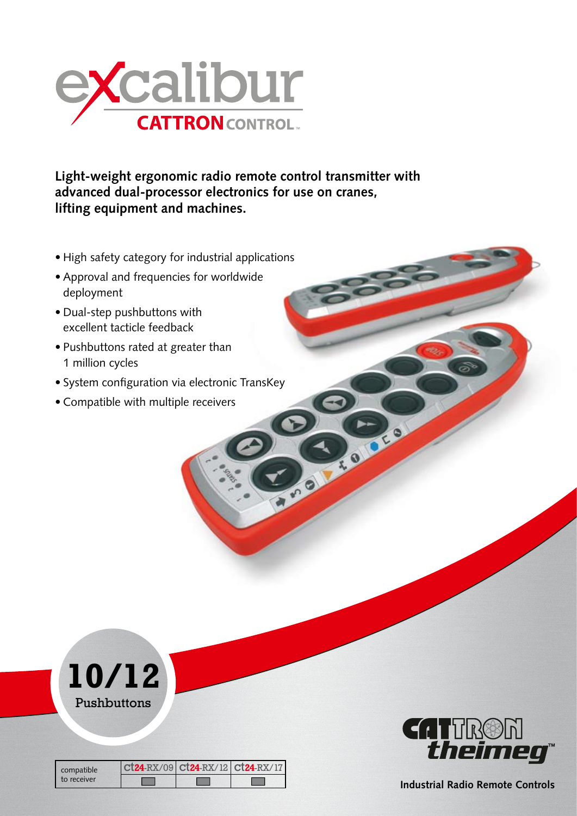

**Light-weight ergonomic radio remote control transmitter with advanced dual-processor electronics for use on cranes, lifting equipment and machines.**

- High safety category for industrial applications
- Approval and frequencies for worldwide deployment
- Dual-step pushbuttons with excellent tacticle feedback
- Pushbuttons rated at greater than 1 million cycles
- System configuration via electronic TransKey
- Compatible with multiple receivers



| compatible<br>to receiver | $ct24-RX/09$ $ct24-RX/12$ $ct24-RX/17$ |  |
|---------------------------|----------------------------------------|--|
|                           |                                        |  |



ROOM

**Industrial Radio Remote Controls**